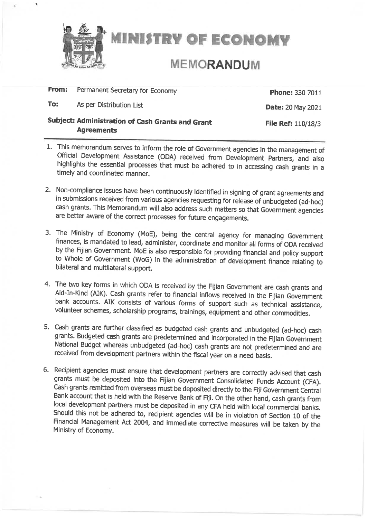

**MINISTRY OF ECONOMY** 

# **MEMORANDUM**

#### Permanent Secretary for Economy From:

To: As per Distribution List **Phone: 330 7011** 

**Date: 20 May 2021** 

## Subject: Administration of Cash Grants and Grant **Agreements**

File Ref: 110/18/3

- 1. This memorandum serves to inform the role of Government agencies in the management of Official Development Assistance (ODA) received from Development Partners, and also highlights the essential processes that must be adhered to in accessing cash grants in a timely and coordinated manner.
- 2. Non-compliance issues have been continuously identified in signing of grant agreements and in submissions received from various agencies requesting for release of unbudgeted (ad-hoc) cash grants. This Memorandum will also address such matters so that Government agencies are better aware of the correct processes for future engagements.
- 3. The Ministry of Economy (MoE), being the central agency for managing Government finances, is mandated to lead, administer, coordinate and monitor all forms of ODA received by the Fijian Government. MoE is also responsible for providing financial and policy support to Whole of Government (WoG) in the administration of development finance relating to bilateral and multilateral support.
- 4. The two key forms in which ODA is received by the Fijian Government are cash grants and Aid-In-Kind (AIK). Cash grants refer to financial inflows received in the Fijian Government bank accounts. AIK consists of various forms of support such as technical assistance, volunteer schemes, scholarship programs, trainings, equipment and other commodities.
- 5. Cash grants are further classified as budgeted cash grants and unbudgeted (ad-hoc) cash grants. Budgeted cash grants are predetermined and incorporated in the Fijian Government National Budget whereas unbudgeted (ad-hoc) cash grants are not predetermined and are received from development partners within the fiscal year on a need basis.
- 6. Recipient agencies must ensure that development partners are correctly advised that cash grants must be deposited into the Fijian Government Consolidated Funds Account (CFA). Cash grants remitted from overseas must be deposited directly to the Fiji Government Central Bank account that is held with the Reserve Bank of Fiji. On the other hand, cash grants from local development partners must be deposited in any CFA held with local commercial banks. Should this not be adhered to, recipient agencies will be in violation of Section 10 of the Financial Management Act 2004, and immediate corrective measures will be taken by the Ministry of Economy.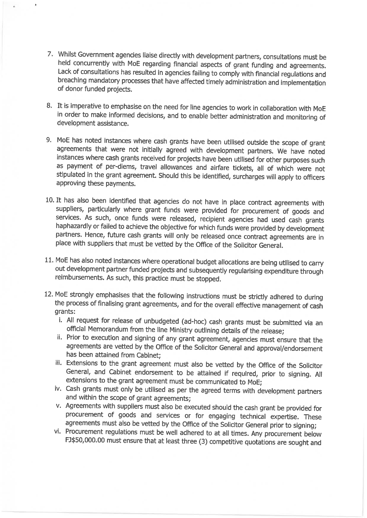- 7. Whilst Government agencies liaise directly with development partners, consultations must be held concurrently with MoE regarding financial aspects of grant funding and agreements. Lack of consultations has resulted in agencies failing to comply with financial regulations and breaching mandatory processes that have affected timely administration and implementation of donor funded projects.
- 8. It is imperative to emphasise on the need for line agencies to work in collaboration with MoE in order to make informed decisions, and to enable better administration and monitoring of development assistance.
- 9. MoE has noted instances where cash grants have been utilised outside the scope of grant agreements that were not initially agreed with development partners. We have noted instances where cash grants received for projects have been utilised for other purposes such as payment of per-diems, travel allowances and airfare tickets, all of which were not stipulated in the grant agreement. Should this be identified, surcharges will apply to officers approving these payments.
- 10. It has also been identified that agencies do not have in place contract agreements with suppliers, particularly where grant funds were provided for procurement of goods and services. As such, once funds were released, recipient agencies had used cash grants haphazardly or failed to achieve the objective for which funds were provided by development partners. Hence, future cash grants will only be released once contract agreements are in place with suppliers that must be vetted by the Office of the Solicitor General.
- 11. MoE has also noted instances where operational budget allocations are being utilised to carry out development partner funded projects and subsequently regularising expenditure through reimbursements. As such, this practice must be stopped.
- 12. MoE strongly emphasises that the following instructions must be strictly adhered to during the process of finalising grant agreements, and for the overall effective management of cash grants:
	- i. All request for release of unbudgeted (ad-hoc) cash grants must be submitted via an official Memorandum from the line Ministry outlining details of the release;
	- ii. Prior to execution and signing of any grant agreement, agencies must ensure that the agreements are vetted by the Office of the Solicitor General and approval/endorsement has been attained from Cabinet;
	- iii. Extensions to the grant agreement must also be vetted by the Office of the Solicitor General, and Cabinet endorsement to be attained if required, prior to signing. All extensions to the grant agreement must be communicated to MoE;
	- iv. Cash grants must only be utilised as per the agreed terms with development partners and within the scope of grant agreements;
	- v. Agreements with suppliers must also be executed should the cash grant be provided for procurement of goods and services or for engaging technical expertise. These agreements must also be vetted by the Office of the Solicitor General prior to signing;
	- vi. Procurement regulations must be well adhered to at all times. Any procurement below FJ\$50,000.00 must ensure that at least three (3) competitive quotations are sought and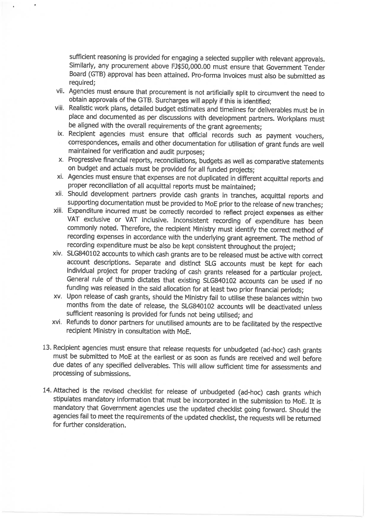sufficient reasoning is provided for engaging a selected supplier with relevant approvals. Similarly, any procurement above FJ\$50,000.00 must ensure that Government Tender Board (GTB) approval has been attained. Pro-forma invoices must also be submitted as required:

- vii. Agencies must ensure that procurement is not artificially split to circumvent the need to obtain approvals of the GTB. Surcharges will apply if this is identified;
- viii. Realistic work plans, detailed budget estimates and timelines for deliverables must be in place and documented as per discussions with development partners. Workplans must be aligned with the overall requirements of the grant agreements;
- ix. Recipient agencies must ensure that official records such as payment vouchers, correspondences, emails and other documentation for utilisation of grant funds are well maintained for verification and audit purposes:
- x. Progressive financial reports, reconciliations, budgets as well as comparative statements on budget and actuals must be provided for all funded projects;
- xi. Agencies must ensure that expenses are not duplicated in different acquittal reports and proper reconciliation of all acquittal reports must be maintained;
- xii. Should development partners provide cash grants in tranches, acquittal reports and supporting documentation must be provided to MoE prior to the release of new tranches;
- xiii. Expenditure incurred must be correctly recorded to reflect project expenses as either VAT exclusive or VAT inclusive. Inconsistent recording of expenditure has been commonly noted. Therefore, the recipient Ministry must identify the correct method of recording expenses in accordance with the underlying grant agreement. The method of recording expenditure must be also be kept consistent throughout the project;
- xiv. SLG840102 accounts to which cash grants are to be released must be active with correct account descriptions. Separate and distinct SLG accounts must be kept for each individual project for proper tracking of cash grants released for a particular project. General rule of thumb dictates that existing SLG840102 accounts can be used if no funding was released in the said allocation for at least two prior financial periods;
- xv. Upon release of cash grants, should the Ministry fail to utilise these balances within two months from the date of release, the SLG840102 accounts will be deactivated unless sufficient reasoning is provided for funds not being utilised; and
- xvi. Refunds to donor partners for unutilised amounts are to be facilitated by the respective recipient Ministry in consultation with MoE.
- 13. Recipient agencies must ensure that release requests for unbudgeted (ad-hoc) cash grants must be submitted to MoE at the earliest or as soon as funds are received and well before due dates of any specified deliverables. This will allow sufficient time for assessments and processing of submissions.
- 14. Attached is the revised checklist for release of unbudgeted (ad-hoc) cash grants which stipulates mandatory information that must be incorporated in the submission to MoE. It is mandatory that Government agencies use the updated checklist going forward. Should the agencies fail to meet the requirements of the updated checklist, the requests will be returned for further consideration.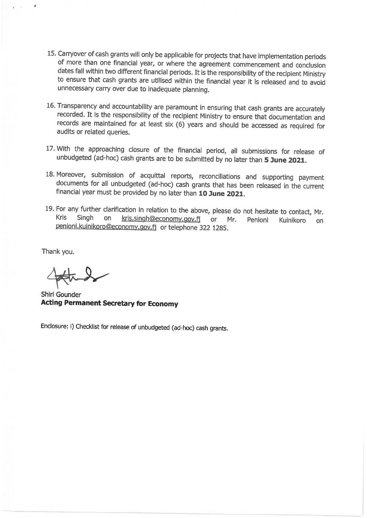- 15. Carryover of cash grants will only be applicable for projects that have implementation periods of more than one financial year, or where the agreement commencement and conclusion dates fall within two different financial periods. It is the responsibility of the recipient Ministry to ensure that cash grants are utilised within the financial year it is released and to avoid unnecessary carry over due to inadequate planning.
- 16. Transparency and accountability are paramount in ensuring that cash grants are accurately recorded. It is the responsibility of the recipient Ministry to ensure that documentation and records are maintained for at least six (6) years and should be accessed as required for audits or related queries.
- 17. With the approaching closure of the financial period, all submissions for release of unbudgeted (ad-hoc) cash grants are to be submitted by no later than 5 June 2021.
- 18. Moreover, submission of acquittal reports, reconciliations and supporting payment documents for all unbudgeted (ad-hoc) cash grants that has been released in the current financial year must be provided by no later than 10 June 2021.
- 19. For any further clarification in relation to the above, please do not hesitate to contact, Mr. Kris Singh on kris.singh@economy.gov.fj or Mr. Penioni Kuinikoro on penioni.kuinikoro@economy.gov.fj or telephone 322 1285.

Thank you.

Shiri Gounder **Acting Permanent Secretary for Economy** 

Enclosure: i) Checklist for release of unbudgeted (ad-hoc) cash grants.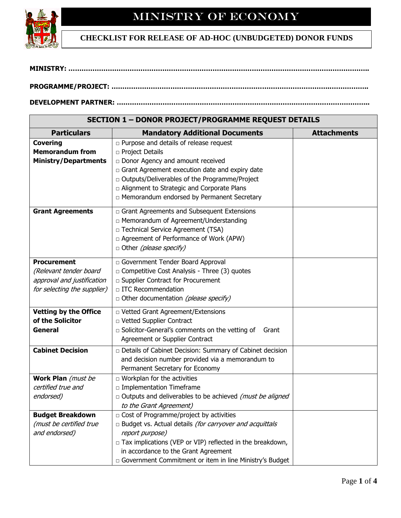

Г

## **CHECKLIST FOR RELEASE OF AD-HOC (UNBUDGETED) DONOR FUNDS**

### **DEVELOPMENT PARTNER: ……………………………………………………………………………………………………..**

**SECTION 1 – DONOR PROJECT/PROGRAMME REQUEST DETAILS**

| SECTION I – DONOR PROJECT/PROGRAMME REQUEST DETAILS |                                                                  |                    |  |  |  |
|-----------------------------------------------------|------------------------------------------------------------------|--------------------|--|--|--|
| <b>Particulars</b>                                  | <b>Mandatory Additional Documents</b>                            | <b>Attachments</b> |  |  |  |
| <b>Covering</b>                                     | $\Box$ Purpose and details of release request                    |                    |  |  |  |
| <b>Memorandum from</b>                              | n Project Details                                                |                    |  |  |  |
| <b>Ministry/Departments</b>                         | Donor Agency and amount received                                 |                    |  |  |  |
|                                                     | $\Box$ Grant Agreement execution date and expiry date            |                    |  |  |  |
|                                                     | □ Outputs/Deliverables of the Programme/Project                  |                    |  |  |  |
|                                                     | □ Alignment to Strategic and Corporate Plans                     |                    |  |  |  |
|                                                     | □ Memorandum endorsed by Permanent Secretary                     |                    |  |  |  |
| <b>Grant Agreements</b>                             | □ Grant Agreements and Subsequent Extensions                     |                    |  |  |  |
|                                                     | □ Memorandum of Agreement/Understanding                          |                    |  |  |  |
|                                                     | □ Technical Service Agreement (TSA)                              |                    |  |  |  |
|                                                     | □ Agreement of Performance of Work (APW)                         |                    |  |  |  |
|                                                     | □ Other (please specify)                                         |                    |  |  |  |
|                                                     |                                                                  |                    |  |  |  |
| <b>Procurement</b>                                  | Government Tender Board Approval                                 |                    |  |  |  |
| (Relevant tender board                              | □ Competitive Cost Analysis - Three (3) quotes                   |                    |  |  |  |
| approval and justification                          | □ Supplier Contract for Procurement                              |                    |  |  |  |
| for selecting the supplier)                         | □ ITC Recommendation                                             |                    |  |  |  |
|                                                     | o Other documentation (please specify)                           |                    |  |  |  |
| <b>Vetting by the Office</b>                        | D Vetted Grant Agreement/Extensions                              |                    |  |  |  |
| of the Solicitor                                    | D Vetted Supplier Contract                                       |                    |  |  |  |
| <b>General</b>                                      | □ Solicitor-General's comments on the vetting of<br>Grant        |                    |  |  |  |
|                                                     | Agreement or Supplier Contract                                   |                    |  |  |  |
| <b>Cabinet Decision</b>                             | Details of Cabinet Decision: Summary of Cabinet decision         |                    |  |  |  |
|                                                     | and decision number provided via a memorandum to                 |                    |  |  |  |
|                                                     | Permanent Secretary for Economy                                  |                    |  |  |  |
| Work Plan (must be                                  | $\Box$ Workplan for the activities                               |                    |  |  |  |
| certified true and                                  | □ Implementation Timeframe                                       |                    |  |  |  |
| endorsed)                                           | $\Box$ Outputs and deliverables to be achieved (must be aligned  |                    |  |  |  |
|                                                     | to the Grant Agreement)                                          |                    |  |  |  |
| <b>Budget Breakdown</b>                             | $\Box$ Cost of Programme/project by activities                   |                    |  |  |  |
| (must be certified true                             | $\Box$ Budget vs. Actual details (for carryover and acquittals   |                    |  |  |  |
| and endorsed)                                       | report purpose)                                                  |                    |  |  |  |
|                                                     | $\Box$ Tax implications (VEP or VIP) reflected in the breakdown, |                    |  |  |  |
|                                                     | in accordance to the Grant Agreement                             |                    |  |  |  |
|                                                     | Government Commitment or item in line Ministry's Budget          |                    |  |  |  |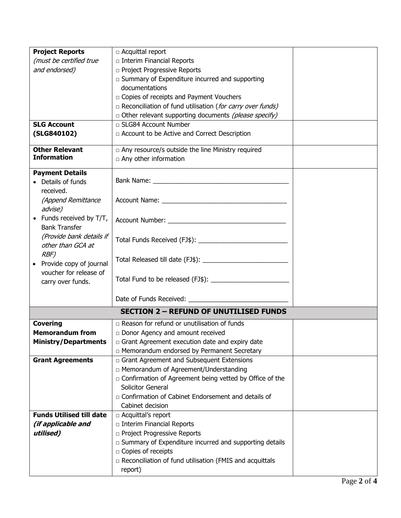| <b>Project Reports</b>          | □ Acquittal report                                             |  |
|---------------------------------|----------------------------------------------------------------|--|
| (must be certified true         | n Interim Financial Reports                                    |  |
| and endorsed)                   | n Project Progressive Reports                                  |  |
|                                 | $\Box$ Summary of Expenditure incurred and supporting          |  |
|                                 | documentations                                                 |  |
|                                 | n Copies of receipts and Payment Vouchers                      |  |
|                                 | □ Reconciliation of fund utilisation (for carry over funds)    |  |
|                                 | □ Other relevant supporting documents (please specify)         |  |
| <b>SLG Account</b>              | □ SLG84 Account Number                                         |  |
| (SLG840102)                     | □ Account to be Active and Correct Description                 |  |
|                                 |                                                                |  |
| <b>Other Relevant</b>           | $\Box$ Any resource/s outside the line Ministry required       |  |
| <b>Information</b>              | $\Box$ Any other information                                   |  |
| <b>Payment Details</b>          |                                                                |  |
| • Details of funds              |                                                                |  |
| received.                       |                                                                |  |
| (Append Remittance              |                                                                |  |
| advise)                         |                                                                |  |
| • Funds received by $T/T$ ,     |                                                                |  |
| <b>Bank Transfer</b>            |                                                                |  |
| (Provide bank details if        |                                                                |  |
| other than GCA at               |                                                                |  |
| RBF)                            |                                                                |  |
| • Provide copy of journal       |                                                                |  |
| voucher for release of          |                                                                |  |
| carry over funds.               |                                                                |  |
|                                 |                                                                |  |
|                                 |                                                                |  |
|                                 | <b>SECTION 2 - REFUND OF UNUTILISED FUNDS</b>                  |  |
| <b>Covering</b>                 | □ Reason for refund or unutilisation of funds                  |  |
| <b>Memorandum from</b>          | Donor Agency and amount received                               |  |
| <b>Ministry/Departments</b>     | $\Box$ Grant Agreement execution date and expiry date          |  |
|                                 | □ Memorandum endorsed by Permanent Secretary                   |  |
| <b>Grant Agreements</b>         | Grant Agreement and Subsequent Extensions                      |  |
|                                 | □ Memorandum of Agreement/Understanding                        |  |
|                                 | $\Box$ Confirmation of Agreement being vetted by Office of the |  |
|                                 | Solicitor General                                              |  |
|                                 | n Confirmation of Cabinet Endorsement and details of           |  |
|                                 | Cabinet decision                                               |  |
| <b>Funds Utilised till date</b> | $\Box$ Acquittal's report                                      |  |
| (if applicable and              | □ Interim Financial Reports                                    |  |
| utilised)                       | □ Project Progressive Reports                                  |  |
|                                 | $\Box$ Summary of Expenditure incurred and supporting details  |  |
|                                 | □ Copies of receipts                                           |  |
|                                 | $\Box$ Reconciliation of fund utilisation (FMIS and acquittals |  |
|                                 | report)                                                        |  |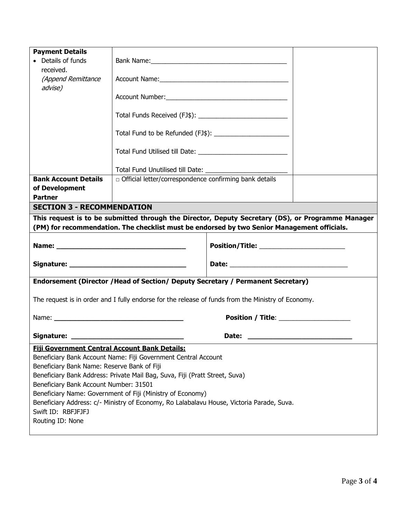| <b>Payment Details</b><br>• Details of funds                                                                                                                                                     | Bank Name: 1988 and 2008 and 2008 and 2008 and 2008 and 2008 and 2008 and 2008 and 2008 and 2008 and 2008 and 2008 and 2008 and 2008 and 2008 and 2008 and 2008 and 2008 and 2008 and 2008 and 2008 and 2008 and 2008 and 2008 |                                           |  |  |  |
|--------------------------------------------------------------------------------------------------------------------------------------------------------------------------------------------------|--------------------------------------------------------------------------------------------------------------------------------------------------------------------------------------------------------------------------------|-------------------------------------------|--|--|--|
| received.                                                                                                                                                                                        |                                                                                                                                                                                                                                |                                           |  |  |  |
| (Append Remittance<br>advise)                                                                                                                                                                    |                                                                                                                                                                                                                                |                                           |  |  |  |
|                                                                                                                                                                                                  |                                                                                                                                                                                                                                |                                           |  |  |  |
|                                                                                                                                                                                                  |                                                                                                                                                                                                                                |                                           |  |  |  |
|                                                                                                                                                                                                  |                                                                                                                                                                                                                                |                                           |  |  |  |
|                                                                                                                                                                                                  |                                                                                                                                                                                                                                |                                           |  |  |  |
|                                                                                                                                                                                                  |                                                                                                                                                                                                                                |                                           |  |  |  |
| <b>Bank Account Details</b><br>of Development<br><b>Partner</b>                                                                                                                                  | official letter/correspondence confirming bank details                                                                                                                                                                         |                                           |  |  |  |
| <b>SECTION 3 - RECOMMENDATION</b>                                                                                                                                                                |                                                                                                                                                                                                                                |                                           |  |  |  |
| This request is to be submitted through the Director, Deputy Secretary (DS), or Programme Manager<br>(PM) for recommendation. The checklist must be endorsed by two Senior Management officials. |                                                                                                                                                                                                                                |                                           |  |  |  |
|                                                                                                                                                                                                  |                                                                                                                                                                                                                                | Position/Title: _________________________ |  |  |  |
|                                                                                                                                                                                                  |                                                                                                                                                                                                                                |                                           |  |  |  |
| Endorsement (Director / Head of Section/ Deputy Secretary / Permanent Secretary)                                                                                                                 |                                                                                                                                                                                                                                |                                           |  |  |  |
| The request is in order and I fully endorse for the release of funds from the Ministry of Economy.                                                                                               |                                                                                                                                                                                                                                |                                           |  |  |  |
|                                                                                                                                                                                                  |                                                                                                                                                                                                                                |                                           |  |  |  |
| Signature:<br>Date:                                                                                                                                                                              |                                                                                                                                                                                                                                |                                           |  |  |  |
| <b>Fiji Government Central Account Bank Details:</b>                                                                                                                                             |                                                                                                                                                                                                                                |                                           |  |  |  |
| Beneficiary Bank Account Name: Fiji Government Central Account<br>Beneficiary Bank Name: Reserve Bank of Fiji                                                                                    |                                                                                                                                                                                                                                |                                           |  |  |  |
| Beneficiary Bank Address: Private Mail Bag, Suva, Fiji (Pratt Street, Suva)                                                                                                                      |                                                                                                                                                                                                                                |                                           |  |  |  |
| Beneficiary Bank Account Number: 31501                                                                                                                                                           |                                                                                                                                                                                                                                |                                           |  |  |  |
| Beneficiary Name: Government of Fiji (Ministry of Economy)<br>Beneficiary Address: c/- Ministry of Economy, Ro Lalabalavu House, Victoria Parade, Suva.                                          |                                                                                                                                                                                                                                |                                           |  |  |  |
| Swift ID: RBFJFJFJ                                                                                                                                                                               |                                                                                                                                                                                                                                |                                           |  |  |  |
| Routing ID: None                                                                                                                                                                                 |                                                                                                                                                                                                                                |                                           |  |  |  |